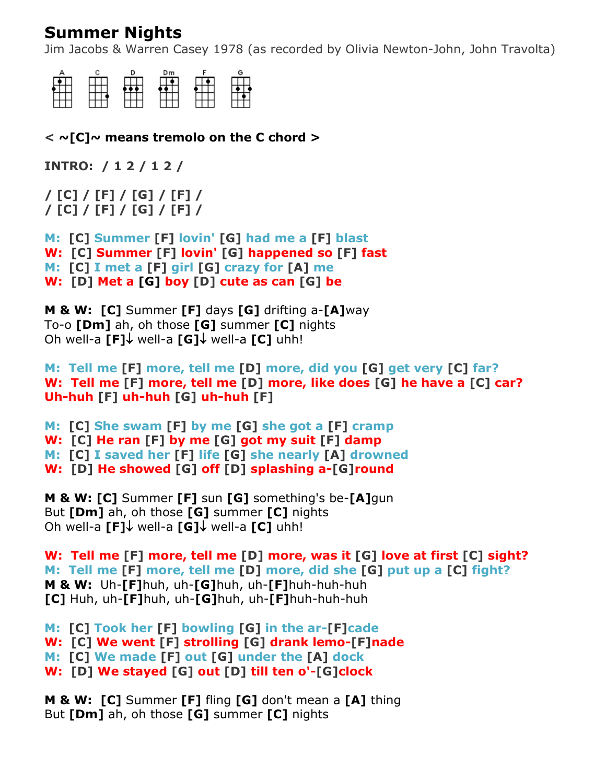## **Summer Nights**

Jim Jacobs & Warren Casey 1978 (as recorded by Olivia Newton-John, John Travolta)



**< ~[C]~ means tremolo on the C chord >**

**INTRO: / 1 2 / 1 2 /**

**/ [C] / [F] / [G] / [F] / / [C] / [F] / [G] / [F] /**

**M: [C] Summer [F] lovin' [G] had me a [F] blast W: [C] Summer [F] lovin' [G] happened so [F] fast M: [C] I met a [F] girl [G] crazy for [A] me W: [D] Met a [G] boy [D] cute as can [G] be**

**M & W: [C]** Summer **[F]** days **[G]** drifting a-**[A]**way To-o **[Dm]** ah, oh those **[G]** summer **[C]** nights Oh well-a [F]↓ well-a [G]↓ well-a [C] uhh!

**M: Tell me [F] more, tell me [D] more, did you [G] get very [C] far? W: Tell me [F] more, tell me [D] more, like does [G] he have a [C] car? Uh-huh [F] uh-huh [G] uh-huh [F]**

**M: [C] She swam [F] by me [G] she got a [F] cramp W: [C] He ran [F] by me [G] got my suit [F] damp M: [C] I saved her [F] life [G] she nearly [A] drowned W: [D] He showed [G] off [D] splashing a-[G]round**

**M & W: [C]** Summer **[F]** sun **[G]** something's be-**[A]**gun But **[Dm]** ah, oh those **[G]** summer **[C]** nights **Oh well-a [F]↓ well-a [G]↓ well-a [C] uhh!** 

**W: Tell me [F] more, tell me [D] more, was it [G] love at first [C] sight? M: Tell me [F] more, tell me [D] more, did she [G] put up a [C] fight? M & W:** Uh-**[F]**huh, uh-**[G]**huh, uh-**[F]**huh-huh-huh **[C]** Huh, uh-**[F]**huh, uh-**[G]**huh, uh-**[F]**huh-huh-huh

**M: [C] Took her [F] bowling [G] in the ar-[F]cade W: [C] We went [F] strolling [G] drank lemo-[F]nade M: [C] We made [F] out [G] under the [A] dock W: [D] We stayed [G] out [D] till ten o'-[G]clock**

**M & W: [C]** Summer **[F]** fling **[G]** don't mean a **[A]** thing But **[Dm]** ah, oh those **[G]** summer **[C]** nights